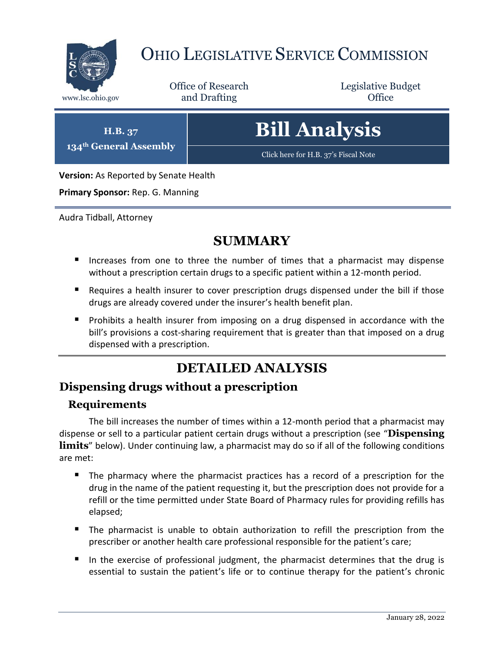

## OHIO LEGISLATIVE SERVICE COMMISSION

Office of Research www.lsc.ohio.gov **and Drafting Office** 

Legislative Budget

**H.B. 37 134th General Assembly**

# **Bill Analysis**

[Click here for H.B. 37](https://www.legislature.ohio.gov/legislation/legislation-documents?id=GA134-HB-37)'s Fiscal Note

**Version:** As Reported by Senate Health

**Primary Sponsor:** Rep. G. Manning

Audra Tidball, Attorney

### **SUMMARY**

- Increases from one to three the number of times that a pharmacist may dispense without a prescription certain drugs to a specific patient within a 12-month period.
- **Requires a health insurer to cover prescription drugs dispensed under the bill if those** drugs are already covered under the insurer's health benefit plan.
- **Prohibits a health insurer from imposing on a drug dispensed in accordance with the** bill's provisions a cost-sharing requirement that is greater than that imposed on a drug dispensed with a prescription.

## **DETAILED ANALYSIS**

#### **Dispensing drugs without a prescription**

#### **Requirements**

The bill increases the number of times within a 12-month period that a pharmacist may dispense or sell to a particular patient certain drugs without a prescription (see "**Dispensing**  limits" below). Under continuing law, a pharmacist may do so if all of the following conditions are met:

- The pharmacy where the pharmacist practices has a record of a prescription for the drug in the name of the patient requesting it, but the prescription does not provide for a refill or the time permitted under State Board of Pharmacy rules for providing refills has elapsed;
- The pharmacist is unable to obtain authorization to refill the prescription from the prescriber or another health care professional responsible for the patient's care;
- In the exercise of professional judgment, the pharmacist determines that the drug is essential to sustain the patient's life or to continue therapy for the patient's chronic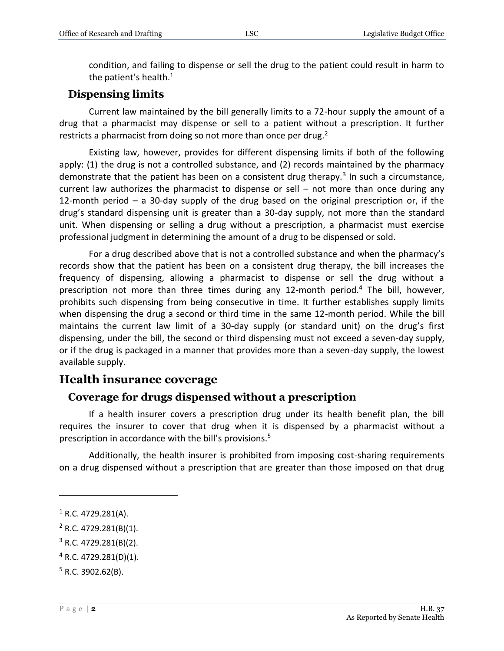condition, and failing to dispense or sell the drug to the patient could result in harm to the patient's health. $1$ 

#### **Dispensing limits**

Current law maintained by the bill generally limits to a 72-hour supply the amount of a drug that a pharmacist may dispense or sell to a patient without a prescription. It further restricts a pharmacist from doing so not more than once per drug.<sup>2</sup>

Existing law, however, provides for different dispensing limits if both of the following apply: (1) the drug is not a controlled substance, and (2) records maintained by the pharmacy demonstrate that the patient has been on a consistent drug therapy.<sup>3</sup> In such a circumstance, current law authorizes the pharmacist to dispense or sell – not more than once during any 12-month period – a 30-day supply of the drug based on the original prescription or, if the drug's standard dispensing unit is greater than a 30-day supply, not more than the standard unit. When dispensing or selling a drug without a prescription, a pharmacist must exercise professional judgment in determining the amount of a drug to be dispensed or sold.

For a drug described above that is not a controlled substance and when the pharmacy's records show that the patient has been on a consistent drug therapy, the bill increases the frequency of dispensing, allowing a pharmacist to dispense or sell the drug without a prescription not more than three times during any 12-month period.<sup>4</sup> The bill, however, prohibits such dispensing from being consecutive in time. It further establishes supply limits when dispensing the drug a second or third time in the same 12-month period. While the bill maintains the current law limit of a 30-day supply (or standard unit) on the drug's first dispensing, under the bill, the second or third dispensing must not exceed a seven-day supply, or if the drug is packaged in a manner that provides more than a seven-day supply, the lowest available supply.

#### **Health insurance coverage**

#### **Coverage for drugs dispensed without a prescription**

If a health insurer covers a prescription drug under its health benefit plan, the bill requires the insurer to cover that drug when it is dispensed by a pharmacist without a prescription in accordance with the bill's provisions.<sup>5</sup>

Additionally, the health insurer is prohibited from imposing cost-sharing requirements on a drug dispensed without a prescription that are greater than those imposed on that drug

 $\overline{a}$ 

 $1$  R.C. 4729.281(A).

 $2$  R.C. 4729.281(B)(1).

 $3$  R.C. 4729.281(B)(2).

<sup>4</sup> R.C. 4729.281(D)(1).

 $5$  R.C. 3902.62(B).